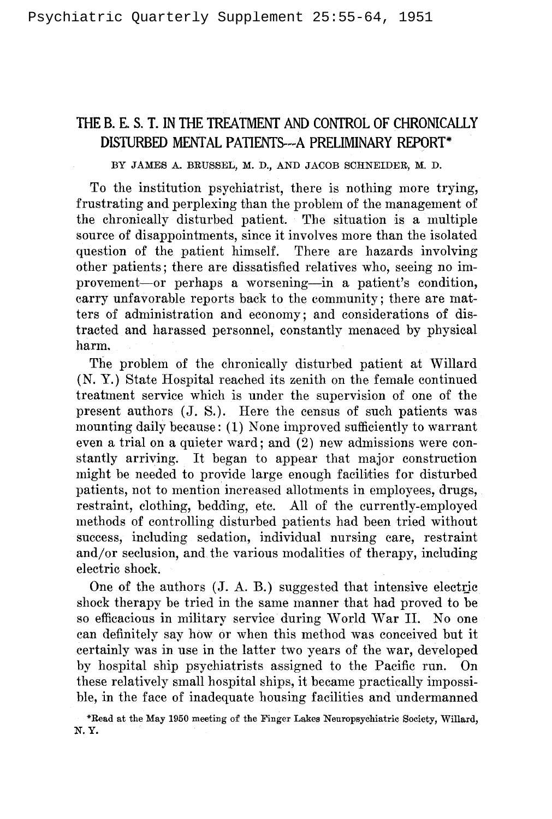# THE B. E. S. T. IN THE TREATMENT AND CONTROL OF CHRONICALLY DISTURBED MENTAL PATIENTS--A PRELIMINARY REPORT\*

BY JAMES A. BRUSSEL, M. D., AND JACOB SCHNEIDER, M. D.

To the institution psychiatrist, there is nothing more trying, frustrating and perplexing than the problem of the management of the chronically disturbed patient. The situation is a multiple source of disappointments, since it involves more than the isolated question of the patient himself. There are hazards involving other patients; there are dissatisfied relatives who, seeing no improvement-or perhaps a worsening--in a patient's condition, carry unfavorable reports back to the community; there are matters of administration and economy; and considerations of distracted and harassed personnel, constantly menaced by physical harm.

The problem of the chronically disturbed patient at Willard (N. Y.) State Hospital reached its zenith on the female continued treatment service which is under the supervision of one of the present authors (J. S.). Here the census of such patients was mounting daily because: (1) None improved sufficiently to warrant even a trial on a quieter ward; and (2) new admissions were constantly arriving. It began to appear that major construction might be needed to provide large enough facilities for disturbed patients, not to mention increased allotments in employees, drugs, restraint, clothing, bedding, etc. All of the currently-employed methods of controlling disturbed patients had been tried without success, including sedation, individual nursing care, restraint and/or seclusion, and the various modalities of therapy, including electric shock.

One of the authors (J. A. B.) suggested that intensive electric shock therapy be tried in the same manner that had proved to be so efficacious in military service during World War II. No one can definitely say how or when this method was conceived but it certainly was in use in the latter two years of the war, developed by hospital ship psychiatrists assigned to the Pacific run. On these relatively small hospital ships, it became practically impossible, in the face of inadequate housing facilities and undermanned

\*Read at the May 1950 meeting of the Finger Lakes Neuropsychiatric Society, Willard, N.Y.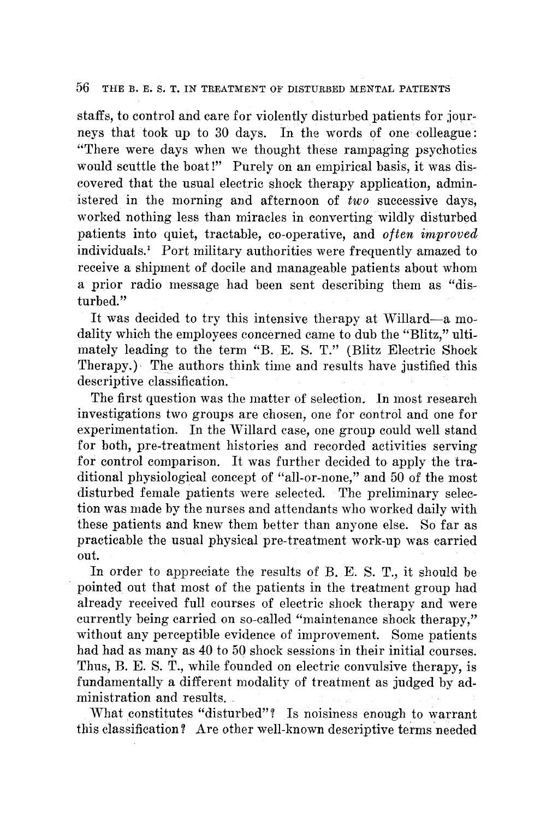### 56 THE B. E. S. T. IN TREATMENT OF DISTURBED MENTAL PATIENTS

staffs, to control and care for violently disturbed patients for journeys that took up to 30 days. In the words of one colleague: "There were days when we thought these rampaging psychotics would scuttle the boat!" Purely on an empirical basis, it was discovered that the usual electric shock therapy application, administered in the morning and afternoon of *two* successive days, worked nothing less than miracles in converting wildly disturbed patients into quiet, tractable, co-operative, and *often improved*  individuals.! Port military authorities were frequently amazed to receive a shipment of docile and manageable patients about whom a prior radio message had been sent describing them as "disturbed."

It was decided to try this intensive therapy at Willard--a modality which the employees concerned came to dub the "Blitz," ultimately leading to the term "B. E. S. T." (Blitz Electric Shock Therapy.) The authors think time and results have justified this descriptive classification.

The first question was the matter of selection. In most research investigations two groups are chosen, one for control and one for experimentation. In the Willard case, one group could well stand for both, pre-treatment histories and recorded activities serving for control comparison. It was further decided to apply the traditional physiological concept of "all-or-none," and 50 of the most disturbed female patients were selected. The preliminary selection was made by the nurses and attendants who worked daily with these patients and knew them better than anyone else. So far as practicable the usual physical pre-treatment work-up was carried out.

In order to appreciate the results of B. E. S. T., it should be pointed out that most of the patients in the treatment group had already received full courses of electric shock therapy and were currently being carried on so-called "maintenance shock therapy," without any perceptible evidence of improvement. Some patients had had as many as 40 to 50 shock sessions in their initial courses. Thus, B. E. S. *T.,* while founded on electric convulsive therapy, is fundamentally a different modality of treatment as judged by administration and results.

What constitutes "disturbed"? Is noisiness enough to warrant this classification? Are other well-known descriptive terms needed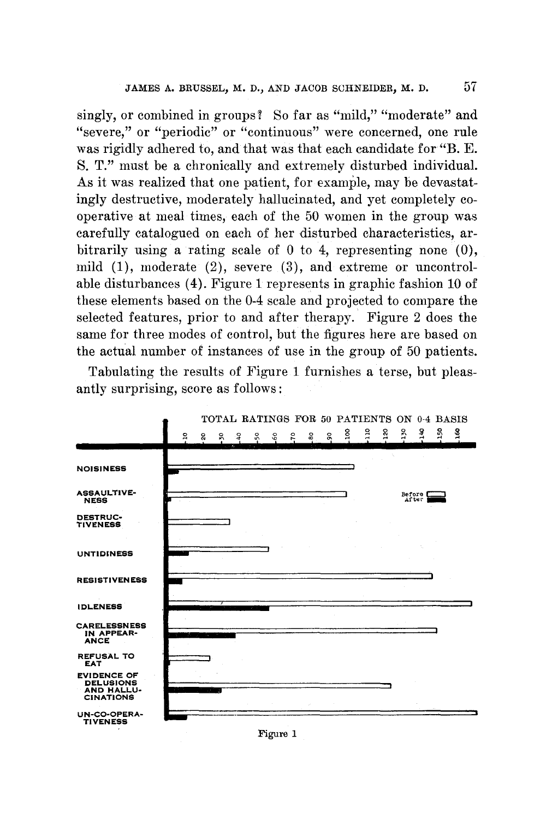singly, or combined in groups? So far as "mild," "moderate" and "severe," or "periodic" or "continuous" were concerned, one rule was rigidly adhered to, and that was that each candidate for "B. E. S. T." must be a chronically and extremely disturbed individual. As it was realized that one patient, for example, may be devastatingly destructive, moderately hallucinated, and yet completely cooperative at meal times, each of the 50 women in the group was carefully catalogued on each of her disturbed characteristics, arbitrarily using a rating scale of 0 to 4, representing none (0), mild (1), moderate (2), severe (3), and extreme or uncontrolable disturbances (4). Figure 1 represents in graphic fashion 10 of these elements based on the 0-4 scale and projected to compare the selected features, prior to and after therapy. Figure 2 does the same for three modes of control, but the figures here are based on the actual number of instances of use in the group of 50 patients.

Tabulating the results of Figure 1 furnishes a terse, but pleasantly surprising, score as follows:



Figure 1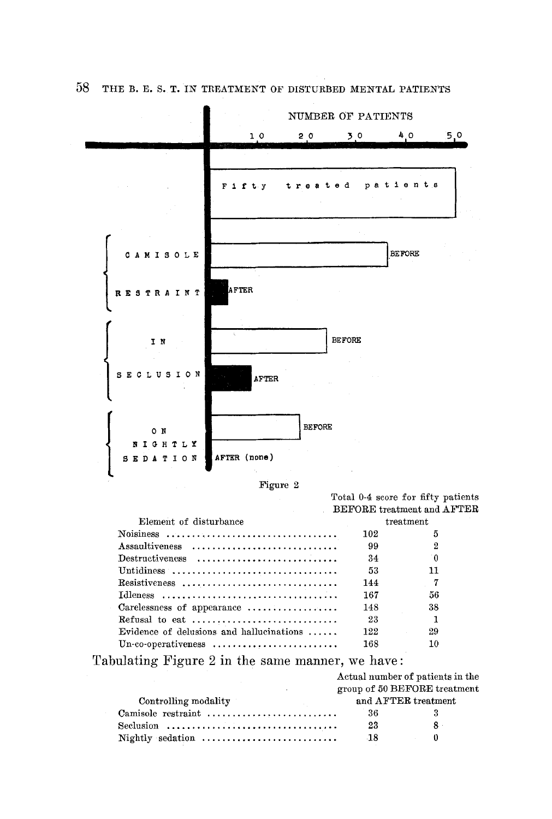

58 THE B. E. S. T. IN TREATMENT OF DISTURBED MENTAL PATIENTS



*AFTER* (none)

**SEDATION** 

Total 0-4 score for fifty patients BEFORE treatment and AFTER

| Element of disturbance                                                  | treatment |     |
|-------------------------------------------------------------------------|-----------|-----|
|                                                                         | 102       | 5   |
| Assaultiveness                                                          | 99        |     |
| $Destructiveness \dots \dots \dots \dots \dots \dots \dots \dots \dots$ | 34        | ി   |
| Untidiness                                                              | 53        | 11  |
| $\text{Resistiveness}$                                                  | 144       | - 7 |
|                                                                         | 167       | 56  |
| Carelessness of appearance $\dots\dots\dots\dots\dots\dots$             | 148       | 38  |
| Refusal to eat $\dots\dots\dots\dots\dots\dots\dots\dots\dots\dots$     | -23       |     |
| Evidence of delusions and hallucinations $\dots$                        | 122       | 29  |
|                                                                         | 168       |     |

Tabulating Figure 2 in the same manner, we have:

|                      |                     | Actual number of patients in the |
|----------------------|---------------------|----------------------------------|
|                      |                     | group of 50 BEFORE treatment     |
| Controlling modality | and AFTER treatment |                                  |
| Camisole restraint   | 36                  |                                  |
|                      | 23                  | $8 \cdot$                        |
| Nightly sedation     | -18                 |                                  |
|                      |                     |                                  |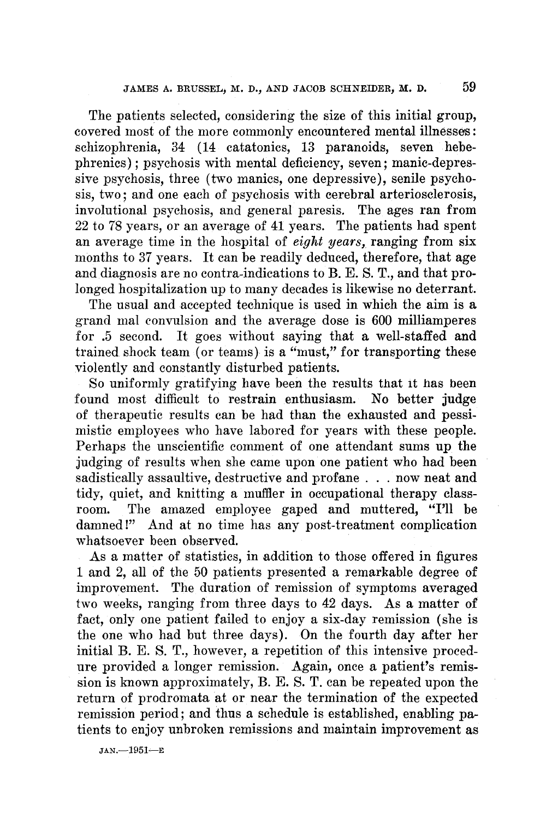The patients selected, considering the size of this initial group, covered most of the more commonly encountered mental illnesses: schizophrenia, 34 (14 catatonics, 13 paranoids, seven hebephrenics) : psychosis with mental deficiency, seven : manic-depressive psychosis, three (two manics, one depressive), senile psychosis, two; and one each of psychosis with cerebral arteriosclerosis, involutional psychosis, and general paresis. The ages ran from 22 to 78 years, or an average of 41 years. The patients had spent an average time in the hospital of *eight years,* ranging from six months to 37 years. It can be readily deduced, therefore, that age and diagnosis are no contra-indications to B. E. S. T., and that prolonged hospitalization up to many decades is likewise no deterrant.

The usual and accepted technique is used in which the aim is a grand mal convulsion and the average dose is 600 milliamperes for .5 second. It goes without saying that a well-staffed and trained shock team (or teams) is a "must," for transporting these violently and constantly disturbed patients.

So uniformly gratifying have been the results that it has been found most difficult to restrain enthusiasm. No better judge of therapeutic results can be had than the exhausted and pessimistic employees who have labored for years with these people. Perhaps the unscientific comment of one attendant sums up the judging of results when she came upon one patient who had been sadistically assaultive, destructive and profane . . . now neat and tidy, quiet, and knitting a muffler in occupational therapy classroom. The amazed employee gaped and muttered, "I'll be damned!" And at no time has any post-treatment complication whatsoever been observed.

As a matter of statistics, in addition to those offered in figures 1 and 2, all of the 50 patients presented a remarkable degree of improvement. The duration of remission of symptoms averaged two weeks, ranging from three days to 42 days. As a matter of fact, only one patient failed to enjoy a six-day remission (she is the one who had but three days). On the fourth day after her initial B. E. S. T., however, a repetition of this intensive procedure provided a longer remission. Again, once a patient's remission is known approximately, B. E. S. T. can be repeated upon the return of prodromata at or near the termination of the expected remission period; and thus a schedule is established, enabling patients to enjoy unbroken remissions and maintain improvement as

JAN.-1951-E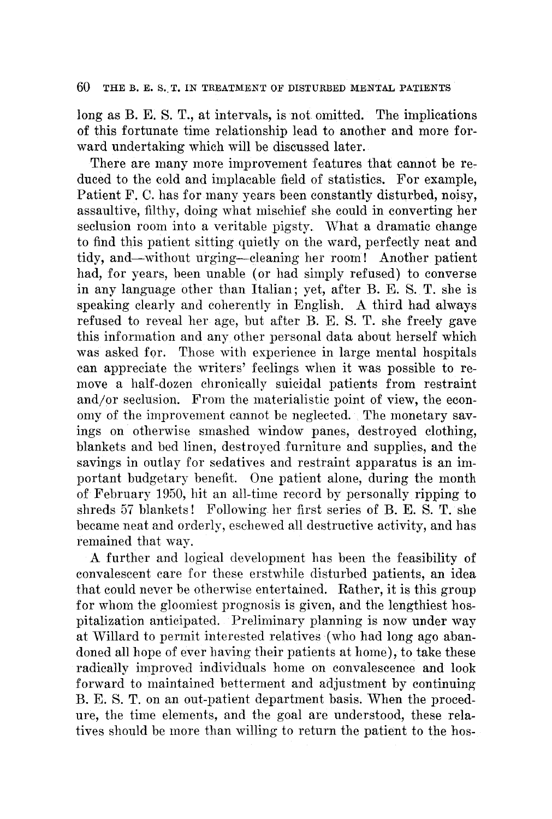#### 60 THE B. E. S. T. IN TREATMENT OF DISTURBED MENTAL PATIENTS

long as B. E. S. T., at intervals, is not omitted. The implications of this fortunate time relationship lead to another and more forward undertaking which will be discussed later.

There are many more improvement features that cannot be reduced to the cold and implacable field of statistics. For example, Patient F. C. has for many years been constantly disturbed, noisy, assaultive, filthy, doing what mischief she could in converting her seclusion room into a veritable pigsty. What a dramatic change to find this patient sitting quietly on the ward, perfectly neat and tidy, and--without urging--cleaning her room! Another patient had, for years, been unable (or had simply refused) to converse in any language other than Italian; yet, after B. E. S. T. she is speaking clearly and coherently in English. A third had always refused to reveal her age, but after B. E. S. T. she freely gave this information and any other personal data about herself which was asked for. Those with experience in large mental hospitals can appreciate the writers' feelings when it was possible to remove a half-dozen chronically suicidal patients from restraint and/or seclusion. From the materialistic point of view, the economy of the improvement cannot be neglected. The monetary savings on otherwise smashed window panes, destroyed clothing, blankets and bed linen, destroyed furniture and supplies, and the savings in outlay for sedatives and restraint apparatus is an important budgetary benefit. One patient alone, during the month of February ]950, hit an all-time record by personally ripping to shreds 57 blankets! Following her first series of B. E. S. T. she became neat and orderly, eschewed all destructive activity, and has remained that way.

A further and logical development has been the feasibility of convalescent care for these erstwhile disturbed patients, an idea that could never be otherwise entertained. Rather, it is this group for whom the gloomiest prognosis is given, and the lengthiest hospitalization anticipated. Preliminary planning is now under way at Willard to permit interested relatives (who had long ago abandoned all hope of ever having their patients at home), to take these radically improved individuals home on convalescence and look forward to maintained betterment and adjustment by continuing B. E. S. T. on an out-patient department basis. When the procedure, the time elements, and the goal are understood, these relatives should be more than willing to return the patient to the hos-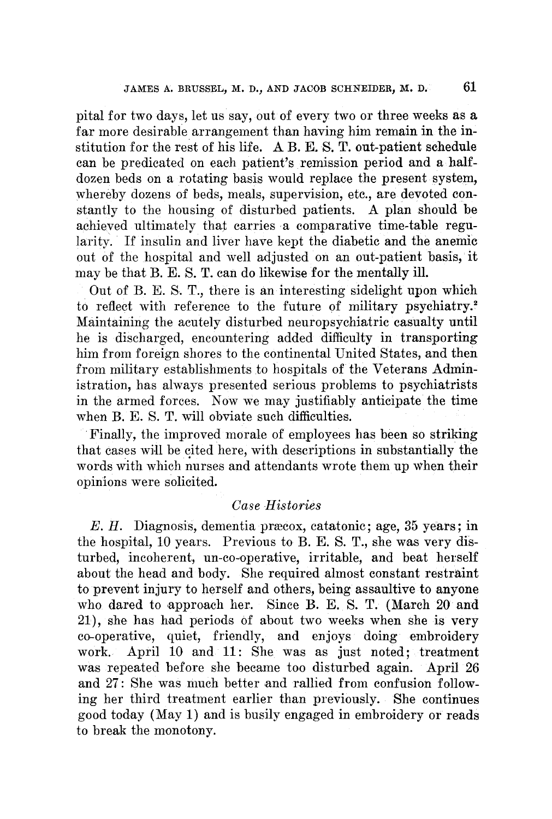pital for two days, let us say, out of every two or three weeks as a far more desirable arrangement than having him remain in the institution for the rest of his life. A B. E. S. T. out-patient schedule can be predicated on each patient's remission period and a halfdozen beds on a rotating basis would replace the present system, whereby dozens of beds, meals, supervision, etc., are devoted constantly to the housing of disturbed patients. A plan should be achieved ultimately that carries a comparative time-table regularity. If insulin and liver have kept the diabetic and the anemic out Of the hospital and well adjusted on an out-patient basis, it may be that B. E. S. T. can do likewise for the mentally ill.

Out of B. E. S. T., there is an interesting sidelight upon which to reflect with reference to the future of military psychiatry.<sup>2</sup> Maintaining the acutely disturbed neuropsychiatric casualty until he is discharged, encountering added difficulty in transporting him from foreign shores to the continental United States, and then from military establishments to hospitals of the Veterans Administration, has always presented serious problems to psychiatrists in the armed forces. Now we may justifiably anticipate the time when B. E. S. T. will obviate such difficulties.

Finally, the improved morale of employees has been so striking that cases will be cited here, with descriptions in substantially the words with which nurses and attendants wrote them up when their opinions were solicited.

## *Case Histories*

E. H. Diagnosis, dementia præcox, catatonic; age, 35 years; in the hospital, 10 years. Previous to B. E. S. T., she was very disturbed, incoherent, un-co-operative, irritable, and beat herself about the head and body. She required almost constant restraint to prevent injury to herself and others, being assaultive to anyone who dared to approach her. Since B. E. S. T. (March 20 and 21), she has had periods of about two weeks when she is very co-operative, quiet, friendly, and enjoys doing embroidery work. April 10 and 11: She was as just noted; treatment was repeated before she became too disturbed again. April 26 and 27: She was much better and rallied from confusion following her third treatment earlier than previously. She continues good today (May 1) and is busily engaged in embroidery or reads to break the monotony.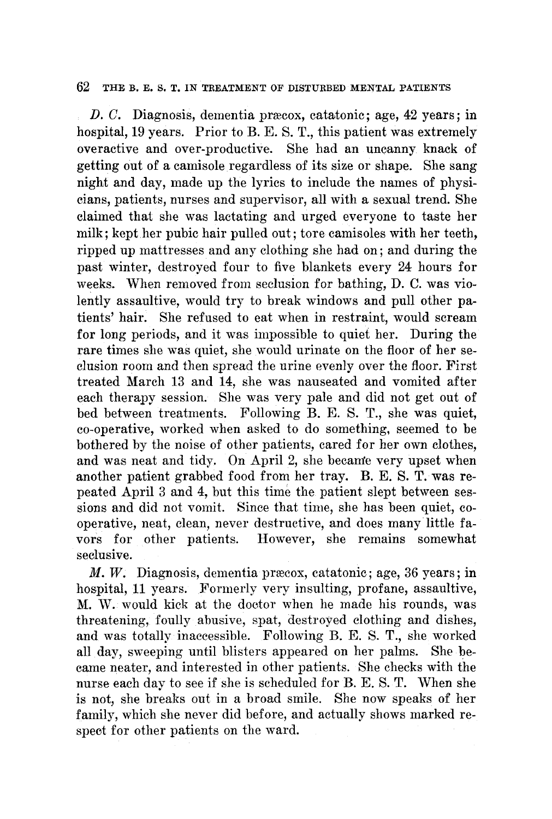#### 62 THE B. E. S, T. IN TREATMENT OF DISTURBED MENTAL PATIENTS

D. C. Diagnosis, dementia præcox, catatonic; age,  $42$  years; in hospital, 19 years. Prior to B. E. S. T., this patient was extremely overactive and over-productive. She had an uncanny knack of getting out of a camisole regardless of its size or shape. She sang night and day, made up the lyrics to include the names of physicians, patients, nurses and supervisor, all with a sexual trend. She claimed that she was lactating and urged everyone to taste her milk; kept her pubic hair pulled out; tore camisoles with her teeth, ripped up mattresses and any clothing she had on; and during the past winter, destroyed four to five blankets every 24 hours for weeks. When removed from seclusion for bathing, D. C. was violently assaultive, would try to break windows and pull other patients' hair: She refused to eat when in restraint, would scream for long periods, and it was impossible to quiet her. During the rare times she was quiet, she would urinate on the floor of her seclusion room and then spread the urine evenly over the floor. First treated March 13 and 14, she was nauseated and vomited after each therapy session. She was very pale and did not get out of bed between treatments. Following B. E. S. T., she was quiet, co-operative, worked when asked to do something, seemed to be bothered by the noise of other patients, cared for her own clothes, and was neat and tidy. On April 2, she became very upset when another patient grabbed food from her tray. B.E.S.T. was repeated April 3 and 4, but this time the patient slept between sessions and did not vomit. Since that time, she has been quiet, cooperative, neat, clean, never destructive, and does many little favors for other patients. However, she remains somewhat seclusive.

 $M, W$ . Diagnosis, dementia præcox, catatonic; age, 36 years; in hospital, 11 years. Formerly very insulting, profane, assaultive, M. W. would kick at the doctor when he made his rounds, was threatening, foully abusive, spat, destroyed clothing and dishes, and was totally inaccessible. Following B. E. S. T., she worked all day, sweeping until blisters appeared on her palms. She became heater, and interested in other patients. She checks with the nurse each day to see if she is scheduled for B. E. S.T. When she is not, she breaks out in a broad smile. She now speaks of her family, which she never did before, and actually shows marked respect for other patients on the ward.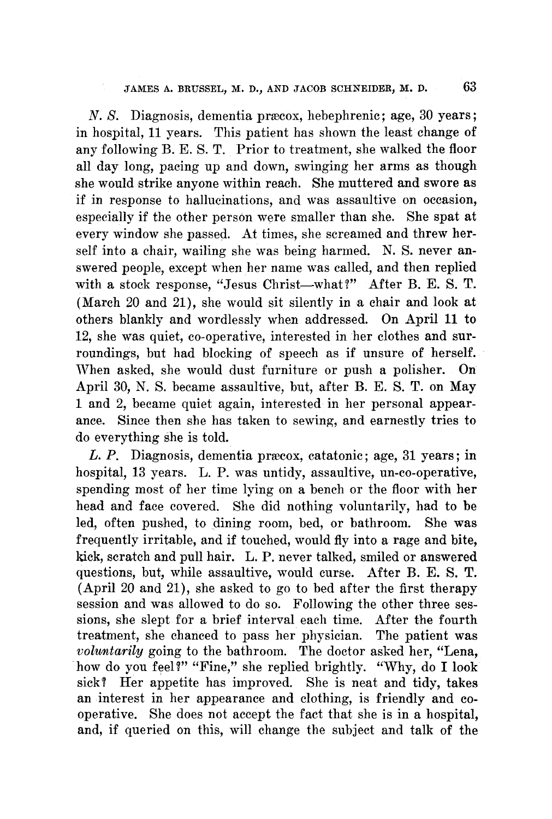N. S. Diagnosis, dementia præcox, hebephrenic; age, 30 years; in hospital, 11 years. This patient has shown the least change of any following B. E. S.T. Prior to treatment, she walked the floor all day long, pacing up and down, swinging her arms as though she would strike anyone within reach. She muttered and swore as if in response to hallucinations, and was assaultive on occasion, especially if the other person were smaller than she. She spat at every window she passed. At times, she screamed and threw herself into a chair, wailing she was being harmed. N. S. never answered people, except when her name was called, and then replied with a stock response, "Jesus Christ--what?" After B. E. S. T. (March 20 and 21), she would sit silently in a chair and look at others blankly and wordlessly when addressed. On April 11 to 12, she was quiet, co-operative, interested in her clothes and surroundings, but had blocking of speech as if unsure of herself. When asked, she would dust furniture or push a polisher. On April 30, N. S. became assaultive, but, after B. E. S. T. on May 1 and 2, became quiet again, interested in her personal appearance. Since then she has taken to sewing, and earnestly tries to do everything she is told.

 $L. P.$  Diagnosis, dementia præcox, catatonic; age, 31 years; in hospital, 13 years. L. P. was untidy, assaultive, un-co-operative, spending most of her time lying on a bench or the floor with her head and face covered. She did nothing voluntarily, had to be led, often pushed, to dining room, bed, or bathroom. She was frequently irritable, and if touched, would fly into a rage and bite, kick, scratch and pull hair. L.P. never talked, smiled or answered questions, but, while assaultive, would curse. After B. E. S. T. (April 20 and 21), she asked to go to bed after the first therapy session and was allowed to do so. Following the other three sessions, she slept for a brief interval each time. After the fourth treatment, she chanced to pass her physician. The patient was *voluntarily* going to the bathroom. The doctor asked her, "Lena, how do you feel?" "Fine," she replied brightly. "Why, do I look sick? Her appetite has improved. She is neat and tidy, takes an interest in her appearance and clothing, is friendly and cooperative. She does not accept the fact that she is in a hospital, and, if queried on this, will change the subject and talk of the